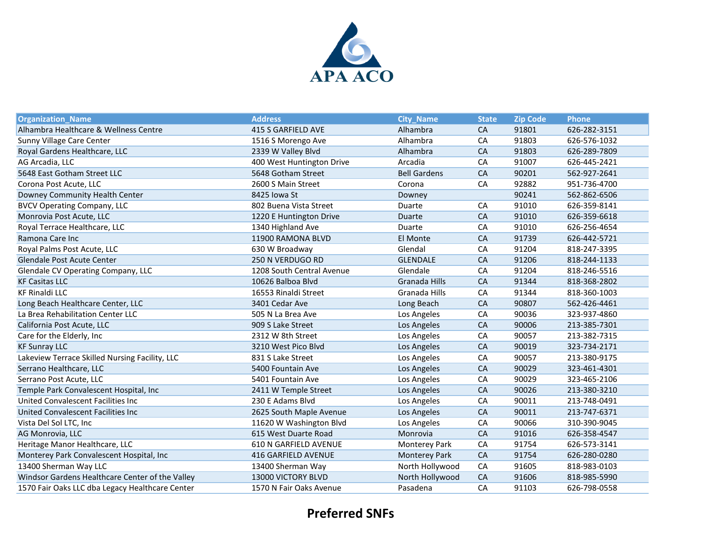

| <b>Organization Name</b>                        | <b>Address</b>             | <b>City_Name</b>     | <b>State</b> | <b>Zip Code</b> | <b>Phone</b> |
|-------------------------------------------------|----------------------------|----------------------|--------------|-----------------|--------------|
| Alhambra Healthcare & Wellness Centre           | <b>415 S GARFIELD AVE</b>  | Alhambra             | <b>CA</b>    | 91801           | 626-282-3151 |
| Sunny Village Care Center                       | 1516 S Morengo Ave         | Alhambra             | CA           | 91803           | 626-576-1032 |
| Royal Gardens Healthcare, LLC                   | 2339 W Valley Blvd         | Alhambra             | CA           | 91803           | 626-289-7809 |
| AG Arcadia, LLC                                 | 400 West Huntington Drive  | Arcadia              | CA           | 91007           | 626-445-2421 |
| 5648 East Gotham Street LLC                     | 5648 Gotham Street         | <b>Bell Gardens</b>  | CA           | 90201           | 562-927-2641 |
| Corona Post Acute, LLC                          | 2600 S Main Street         | Corona               | CA           | 92882           | 951-736-4700 |
| Downey Community Health Center                  | 8425 Iowa St               | Downey               |              | 90241           | 562-862-6506 |
| <b>BVCV Operating Company, LLC</b>              | 802 Buena Vista Street     | Duarte               | CA           | 91010           | 626-359-8141 |
| Monrovia Post Acute, LLC                        | 1220 E Huntington Drive    | Duarte               | CA           | 91010           | 626-359-6618 |
| Royal Terrace Healthcare, LLC                   | 1340 Highland Ave          | Duarte               | CA           | 91010           | 626-256-4654 |
| Ramona Care Inc                                 | 11900 RAMONA BLVD          | El Monte             | CA           | 91739           | 626-442-5721 |
| Royal Palms Post Acute, LLC                     | 630 W Broadway             | Glendal              | CA           | 91204           | 818-247-3395 |
| Glendale Post Acute Center                      | 250 N VERDUGO RD           | <b>GLENDALE</b>      | CA           | 91206           | 818-244-1133 |
| Glendale CV Operating Company, LLC              | 1208 South Central Avenue  | Glendale             | CA           | 91204           | 818-246-5516 |
| <b>KF Casitas LLC</b>                           | 10626 Balboa Blvd          | Granada Hills        | CA           | 91344           | 818-368-2802 |
| <b>KF Rinaldi LLC</b>                           | 16553 Rinaldi Street       | Granada Hills        | CA           | 91344           | 818-360-1003 |
| Long Beach Healthcare Center, LLC               | 3401 Cedar Ave             | Long Beach           | CA           | 90807           | 562-426-4461 |
| La Brea Rehabilitation Center LLC               | 505 N La Brea Ave          | Los Angeles          | CA           | 90036           | 323-937-4860 |
| California Post Acute, LLC                      | 909 S Lake Street          | Los Angeles          | CA           | 90006           | 213-385-7301 |
| Care for the Elderly, Inc                       | 2312 W 8th Street          | Los Angeles          | CA           | 90057           | 213-382-7315 |
| <b>KF Sunray LLC</b>                            | 3210 West Pico Blvd        | Los Angeles          | CA           | 90019           | 323-734-2171 |
| Lakeview Terrace Skilled Nursing Facility, LLC  | 831 S Lake Street          | Los Angeles          | CA           | 90057           | 213-380-9175 |
| Serrano Healthcare, LLC                         | 5400 Fountain Ave          | Los Angeles          | CA           | 90029           | 323-461-4301 |
| Serrano Post Acute, LLC                         | 5401 Fountain Ave          | Los Angeles          | CA           | 90029           | 323-465-2106 |
| Temple Park Convalescent Hospital, Inc          | 2411 W Temple Street       | Los Angeles          | CA           | 90026           | 213-380-3210 |
| United Convalescent Facilities Inc              | 230 E Adams Blvd           | Los Angeles          | CA           | 90011           | 213-748-0491 |
| United Convalescent Facilities Inc              | 2625 South Maple Avenue    | Los Angeles          | CA           | 90011           | 213-747-6371 |
| Vista Del Sol LTC, Inc                          | 11620 W Washington Blvd    | Los Angeles          | CA           | 90066           | 310-390-9045 |
| AG Monrovia, LLC                                | 615 West Duarte Road       | Monrovia             | CA           | 91016           | 626-358-4547 |
| Heritage Manor Healthcare, LLC                  | 610 N GARFIELD AVENUE      | <b>Monterey Park</b> | CA           | 91754           | 626-573-3141 |
| Monterey Park Convalescent Hospital, Inc        | <b>416 GARFIELD AVENUE</b> | <b>Monterey Park</b> | CA           | 91754           | 626-280-0280 |
| 13400 Sherman Way LLC                           | 13400 Sherman Way          | North Hollywood      | CA           | 91605           | 818-983-0103 |
| Windsor Gardens Healthcare Center of the Valley | 13000 VICTORY BLVD         | North Hollywood      | CA           | 91606           | 818-985-5990 |
| 1570 Fair Oaks LLC dba Legacy Healthcare Center | 1570 N Fair Oaks Avenue    | Pasadena             | CA           | 91103           | 626-798-0558 |

## **Preferred SNFs**